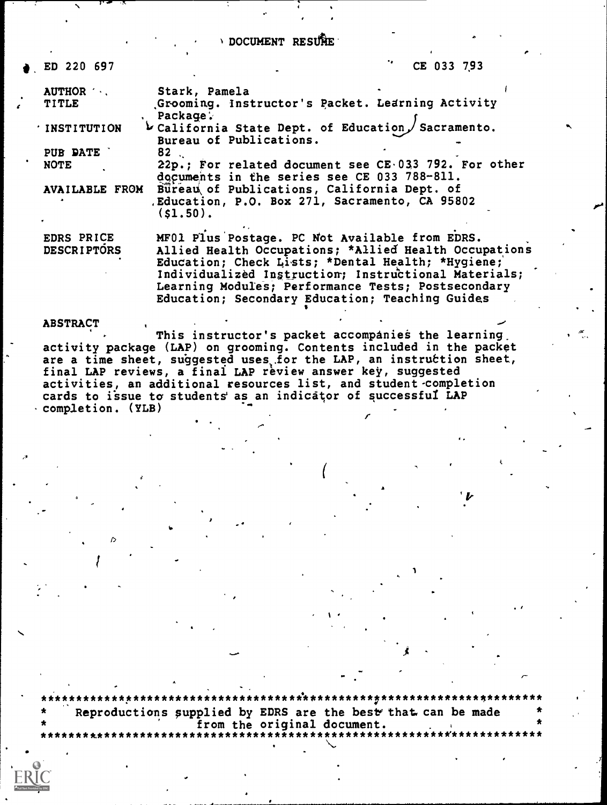DOCUMENT RESURE

ED 220 697

CE 033 793

| AUTHOR             | Stark, Pamela                                                    |
|--------------------|------------------------------------------------------------------|
| <b>TITLE</b>       | Grooming. Instructor's Packet. Learning Activity                 |
|                    | Package:                                                         |
| ' INSTITUTION      | $\triangleright$ California State Dept. of Education Sacramento. |
|                    | Bureau of Publications.                                          |
| PUB DATE           | 82                                                               |
| <b>NOTE</b>        | 22p.; For related document see CE.033 792. For other             |
|                    | documents in the series see CE 033 788-811.                      |
| AVAILABLE FROM     | Bureau of Publications, California Dept. of                      |
|                    | , Education, P.O. Box 271, Sacramento, CA 95802<br>$(s1, 50)$ .  |
|                    |                                                                  |
| EDRS PRICE         | MF01 Plus Postage. PC Not Available from EDRS.                   |
|                    |                                                                  |
| <b>DESCRIPTORS</b> | Allied Health Occupations; *Allied Health Occupations            |
|                    | Education; Check Lists; *Dental Health; *Hygiene;                |
|                    | Individualized Instruction; Instructional Materials;             |
|                    | Learning Modules; Performance Tests; Postsecondary               |
|                    |                                                                  |
|                    | Education; Secondary Education; Teaching Guides                  |

**ABSTRACT** 

This instructor's packet accompanies the learning. activity package (LAP) on grooming. Contents included in the packet are a time sheet, suggested uses for the LAP, an instruction sheet,<br>final LAP reviews, a final LAP review answer key, suggested activities, an additional resources list, and student completion cards to issue to students as an indicator of successful LAP Completion. (YLB)

Reproductions supplied by EDRS are the best that can be made from the original document.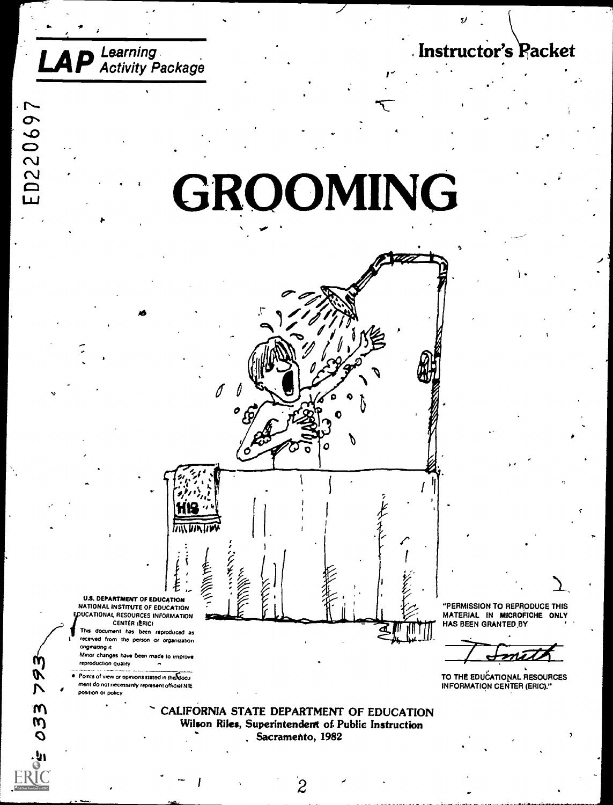Instructor's Racket

# GROOMING



received from the person or organization onginating it Minor changes have been made to improve reproduction quality

**LAP** Learning

ED220697

Points of view or opinions stated in this docu ment do not necessarily represent official NIE

position or policy

Л

M

CALIFORNIA STATE DEPARTMENT OF EDUCATION Wilson Riles, Superintendent of Public Instruction . Sacramento, 1982

"PERMISSION TO REPRODUCE THIS MATERIAL IN MICROFICHE ONLY HAS BEEN GRANTED BY

TO THE EDUCATIONAL RESOURCES **INFORMATION CENTER (ERIC)."**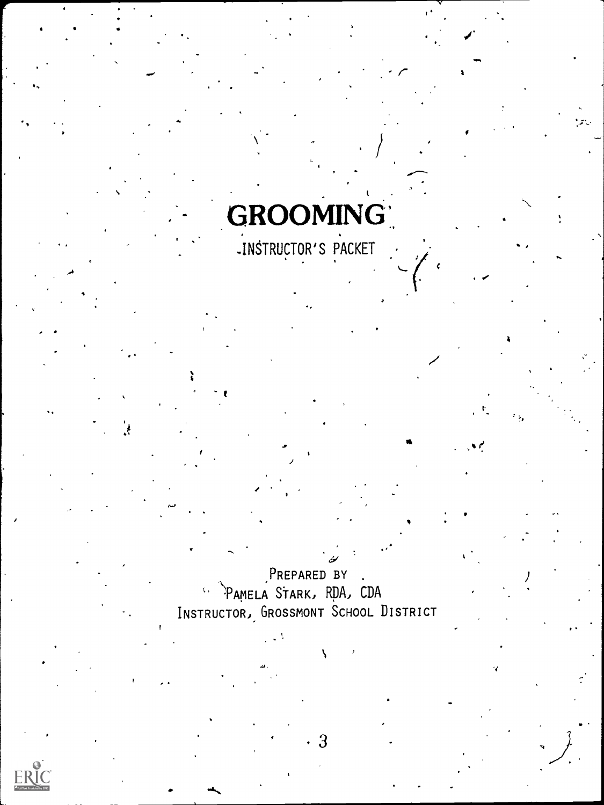# **GROOMING**

PREPARED BY .<br>PAMELA STARK, RDA, CDA INSTRUCTOR, GROSSMONT SCHOOL DISTRICT

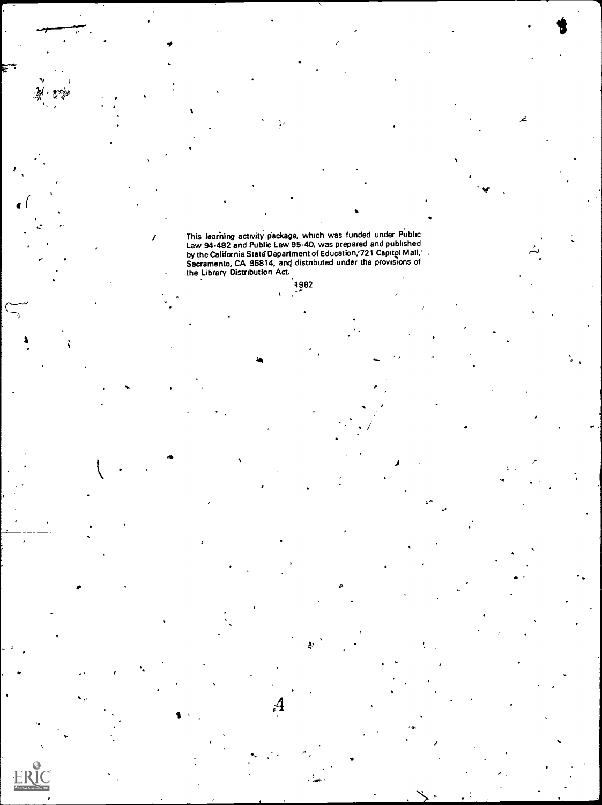/ This learhing activity eackage, which was funded under Public Law 94-482 and Public Law 95-40, was prepared and published - . by the California State Department of Education;721 Capitgl Mall, . Sacramento, CA 95814, anq distributed under the provisions of the Library Distribution Act

1982

 $\mathcal{A}^{\prime}$  and  $\mathcal{A}^{\prime}$ 

 $\beta_i$ 

 $\rightarrow$ 

 $\bullet$  and  $\bullet$ 

 $\overline{z}$ 

,

 $\frac{1}{2}$ 

i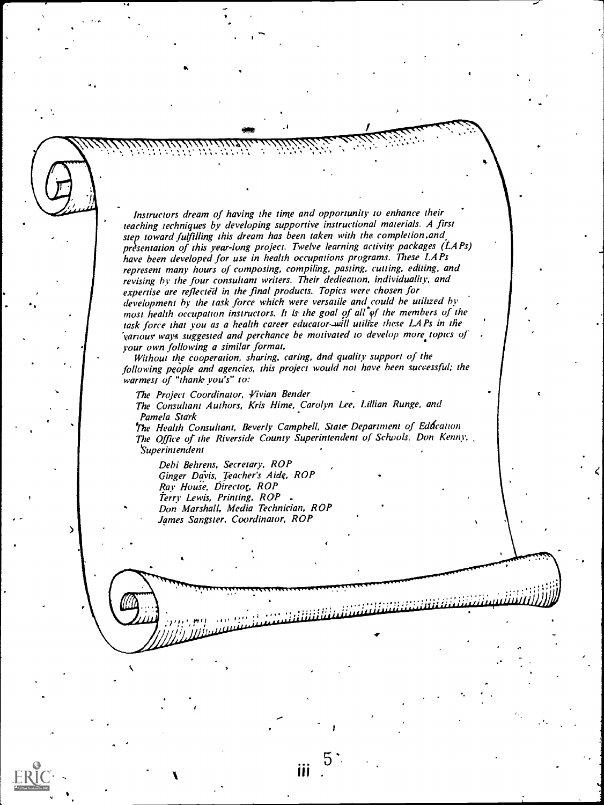Instructors dream of having the time and opportunity to enhance their leaching techniques by developing supportive instructional materials. A first step toward fulfilling this dream has been taken with the completion, and presentation of this year-long project. Twelve learning activity packages (LAPs) have been developed for use in health occupations programs. These LA Ps represent many hours of composing, compiling, pasting, culling, editing, and revising by the four consultant writers. Their dedication, individuality, and expertise are reflected in the final products. Topics were chosen for development by the task force which were versatile and.could be utilized by most health occupation instructors. It is the goal of all  $\phi$ f the members of the task force that you as a health career educator-will utilize these LAPs in the various ways suggested and perchance be motivated to develop more topics of your own following a similar format.

 $\mathcal{L}(\mathcal{L})$  $v_{\rm{max}}$ 

.

;:!:

Without the cooperation, sharing, caring, dnd quality support of the following people and agencies, this project would not have been successful: the warmesi of "thank you's" to:

The Project Coordinator, Vivian Bender The Consultant Authors, Kris Hime, Carolyn Lee, Lillian Runge, and Pamela Stark

The Health Consultant, Beverly Campbell, State Department of Eddcation The Office of the Riverside County Superintendent of Schools, Don Kenny, **Superintendent** 

ΪÜ

Debi Behrens, Secretary, ROP Ginger Davis, Teacher's Aide, ROP Ray House, Director, ROP Terry Lewis, Priming, ROP Don Marshall, Media Technician, ROP James Sangster, Coordinator, ROP

0.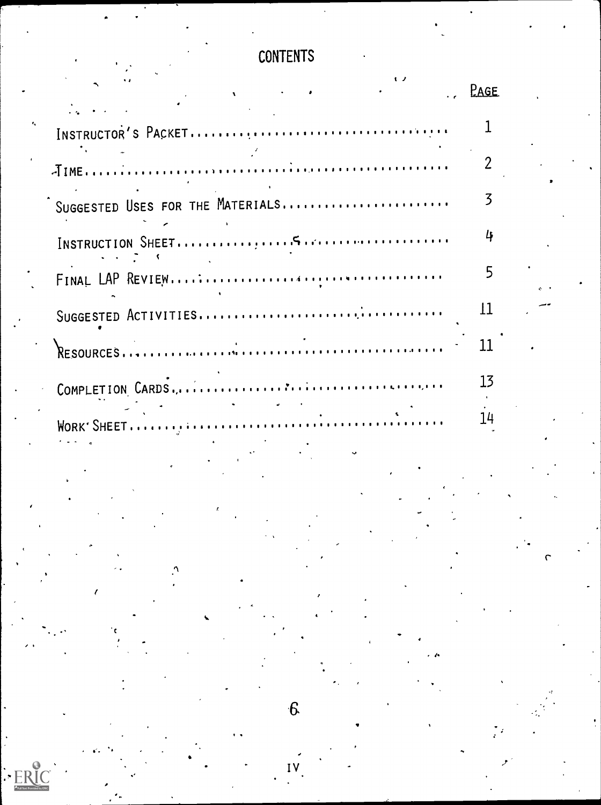## **CONTENTS**

|                                  | <b>PAGE</b> |  |
|----------------------------------|-------------|--|
|                                  |             |  |
|                                  |             |  |
| SUGGESTED USES FOR THE MATERIALS |             |  |
|                                  |             |  |
|                                  |             |  |
|                                  | 1           |  |
|                                  | 11          |  |
|                                  | 13          |  |
|                                  | 14          |  |
|                                  |             |  |
|                                  |             |  |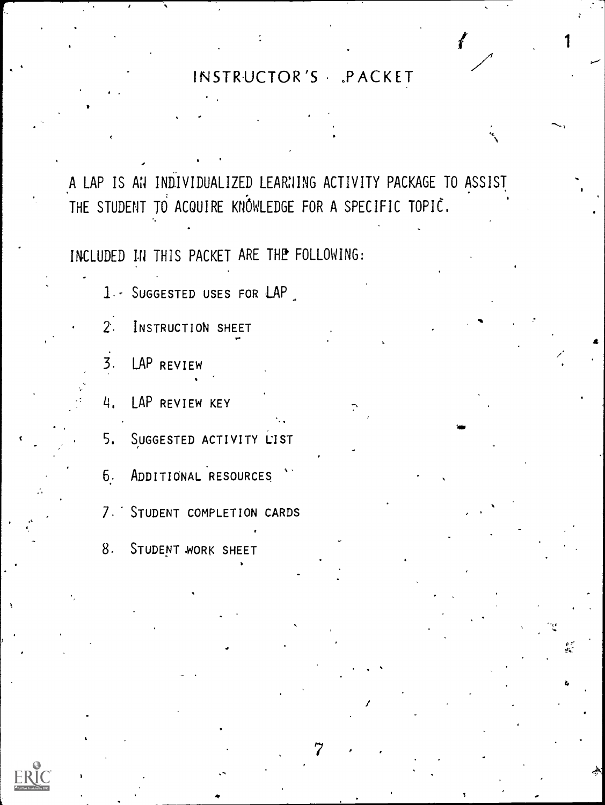#### INSTRUCTOR'S PACKET

 $\begin{pmatrix} 1 & 1 \\ 1 & 1 \end{pmatrix}$ 

 $\mathcal{L} = \begin{bmatrix} 1 \\ 1 \end{bmatrix}$ 

4

 $\bullet$  and  $\bullet$  and  $\bullet$ 

 $\mathbf{v} \in \mathbb{R}$ 

A LAP IS AN INDIVIDUALIZED LEARNING ACTIVITY PACKAGE TO ASSIST THE STUDENT TO ACQUIRE KNOWLEDGE FOR A SPECIFIC TOPIC.

 $\epsilon$ 

 $7 \rightarrow 7$ 

/

 $\epsilon$ 

 $\mathbf{v} = \mathbf{v}$ 

INCLUDED IN THIS PACKET ARE THE FOLLOWING:

1. SUGGESTED USES FOR LAP

2% INSTRUCTION SHEET p.

 $\overline{3}$ . LAP REVIEW

 $\blacksquare$ 

4. LAP REVIEW KEY

5, SUGGESTED ACTIVITY LIST

6.. ADDITIONAL 'RESOURCES

7. STUDENT COMPLETION CARDS

8. STUDENT WORK SHEET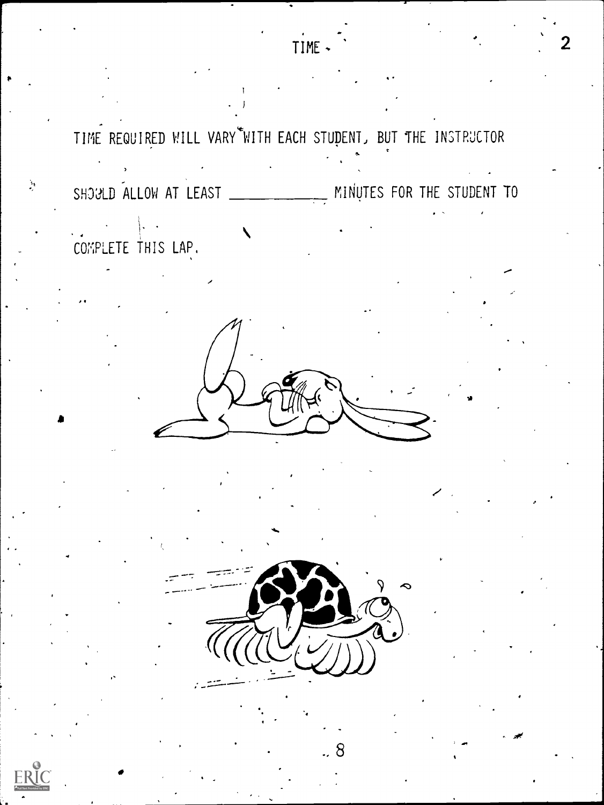TIME REQUIRED WILL VARY WITH EACH STUDENT, BUT THE INSTRUCTOR SHOGLD ALLOW AT LEAST \_\_\_\_\_\_\_\_\_\_\_\_\_\_ MINUTES FOR THE STUDENT TO  $\frac{1}{\sqrt{2}}$ COMPLETE THIS LAP.

TIME -



8



 $\sum_{i=1}^{N}$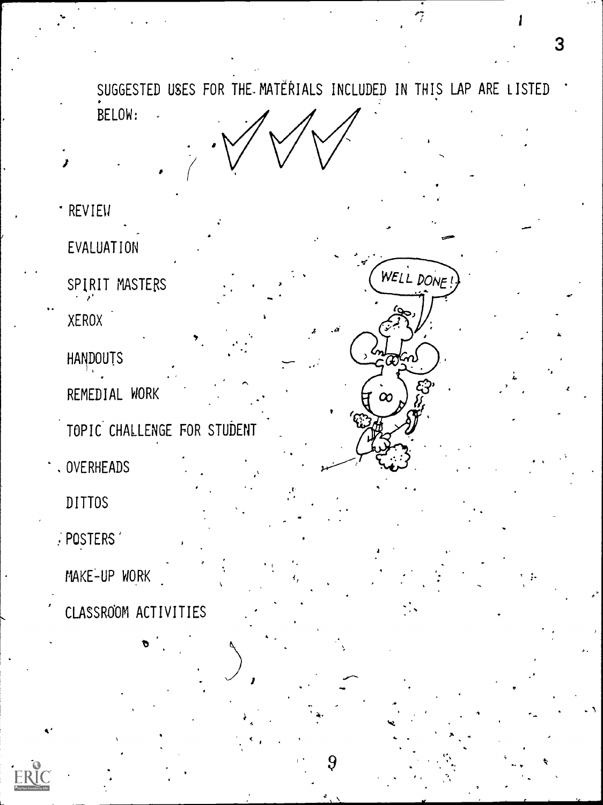SUGGESTED USES FOR THE MATERIALS INCLUDED IN THIS LAP ARE LISTED BELOW:

 $\sim$ 

 $\sim$ 

.14

- 'REVIEW
- EVALUATION
- 4 SPIRIT MASTERS
	- XEROX
	- HANDOUTS
	- REMEDIAL WORK
	- TOPIC CHALLENGE FOR STUDENT
- .OVERHEADS
	- DITTOS
	- :POSTERS'
	- MAKE-UP WORK
- CLASSROOM ACTIVITIES

cs=0'

WELL DONE!

 $\infty$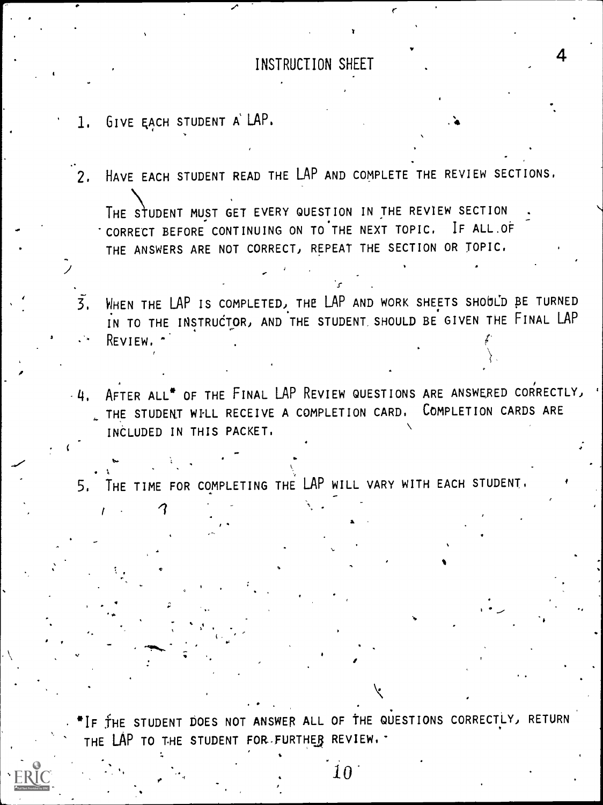#### INSTRUCTION SHEET

4

- 1. GIVE EACH STUDENT A' LAP.
- 2. HAVE EACH STUDENT READ THE LAP AND COMPLETE THE REVIEW SECTIONS.

THE STUDENT MUST GET EVERY QUESTION IN THE REVIEW SECTION 'CORRECT BEFORE CONTINUING ON TO'THE NEXT TOPIC, IF ALL.OF THE ANSWERS ARE NOT CORRECT) REPEAT THE SECTION OR TOPIC,

- WHEN THE LAP IS COMPLETED, THE LAP AND WORK SHEETS SHOULD BE TURNED  $\overline{3}$ . IN TO THE INSTRUCTOR, AND THE STUDENT SHOULD BE GIVEN THE FINAL LAP REVIEW, ^.
- $4.4$ . After all<sup>\*</sup> of the Final LAP Review Questions are answered correctly, THE STUDENT WILL RECEIVE A COMPLETION CARD. COMPLETION CARDS ARE INCLUDED IN THIS PACKET.

 $\sum_{i=1}^n \alpha_i = \sum_{i=1}^n \alpha_i$ 5, THE TIME FOR COMPLETING THE LAP WILL VARY WITH EACH STUDENT,

\*IF THE STUDENT DOES NOT ANSWER ALL OF THE QUESTIONS CORRECTLY, RETURN THE LAP TO THE STUDENT FOR FURTHER REVIEW. -

. .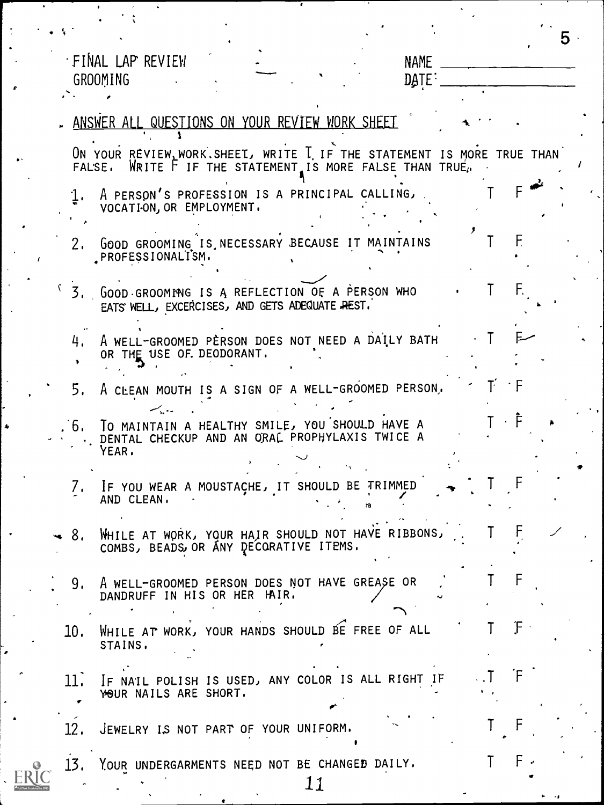|     |                                                                                                                                         |           | 5. |
|-----|-----------------------------------------------------------------------------------------------------------------------------------------|-----------|----|
|     | 'FINAL LAP REVIEW<br><b>NAME</b><br><b>GROOMING</b><br>DATE:                                                                            |           |    |
|     | ANSWER ALL QUESTIONS ON YOUR REVIEW WORK SHEET                                                                                          |           |    |
|     | ON YOUR REVIEW, WORK, SHEET, WRITE I IF THE STATEMENT IS MORE TRUE THAN<br>WRITE F IF THE STATEMENT IS MORE FALSE THAN TRUE.<br>FAL'SE. |           |    |
|     | $1.$ A PERSON'S PROFESSION IS A PRINCIPAL CALLING,<br>VOCATION, OR EMPLOYMENT.                                                          |           |    |
| 2.  | GOOD GROOMING IS NECESSARY BECAUSE IT MAINTAINS<br>PROFESSIONALISM.                                                                     |           |    |
| 3.  | GOOD GROOMING IS A REFLECTION OF A PERSON WHO<br>EATS WELL, EXCERCISES, AND GETS ADEQUATE REST.                                         | F.        |    |
| 4.  | A WELL-GROOMED PERSON DOES NOT NEED A DAILY BATH<br>OR THE USE OF. DEODORANT.                                                           |           |    |
| 5.  | A CLEAN MOUTH IS A SIGN OF A WELL-GROOMED PERSON,                                                                                       | $T' = F$  |    |
|     | به وبرکسب<br>. 6. TO MAINTAIN A HEALTHY SMILE, YOU SHOULD HAVE A<br>DENTAL CHECKUP AND AN ORAL PROPHYLAXIS TWICE A<br>YEAR.             |           |    |
|     | IF YOU WEAR A MOUSTACHE, IT SHOULD BE TRIMMED<br>AND CLEAN.                                                                             |           |    |
| 8.  | WHILE AT WORK, YOUR HAIR SHOULD NOT HAVE RIBBONS,<br>COMBS, BEADS OR ANY DECORATIVE ITEMS.                                              |           |    |
| 9.  | A WELL-GROOMED PERSON DOES NOT HAVE GREASE OR<br>DANDRUFF IN HIS OR HER HAIR.                                                           |           |    |
| 10. | WHILE AT WORK, YOUR HANDS SHOULD BE FREE OF ALL<br>STAINS.                                                                              | F         |    |
| 11. | IF NAIL POLISH IS USED, ANY COLOR IS ALL RIGHT IF<br>YOUR NAILS ARE SHORT.                                                              | F         |    |
| 12. | JEWELRY IS NOT PART OF YOUR UNIFORM.                                                                                                    |           |    |
| 13. | YOUR UNDERGARMENTS NEED NOT BE CHANGED DAILY.<br>11                                                                                     | $F \cdot$ |    |

 $\ddot{\phantom{0}}$ 

 $\frac{1}{\sqrt{2}}$ 

 $\ddot{\phantom{0}}$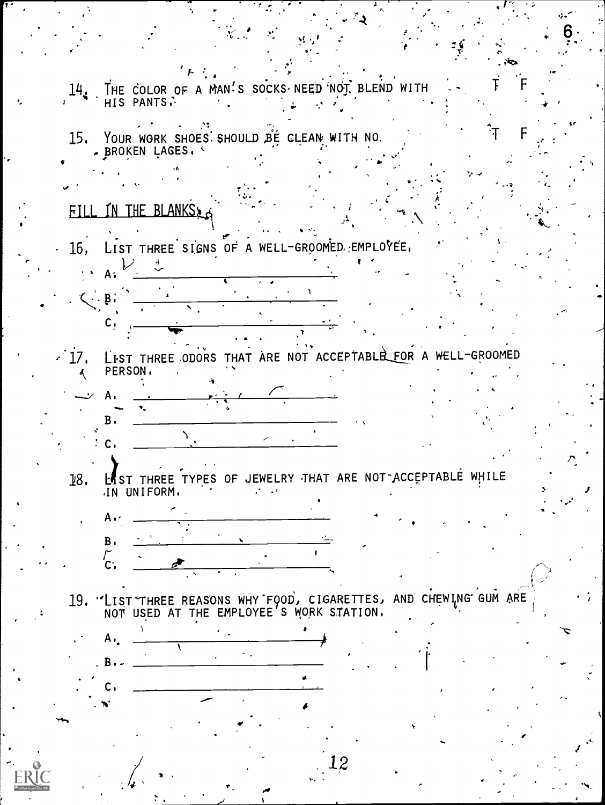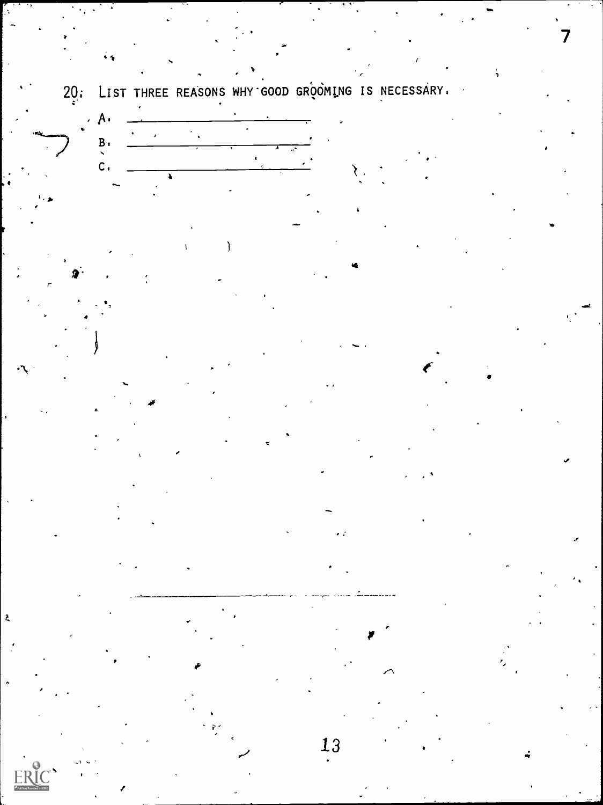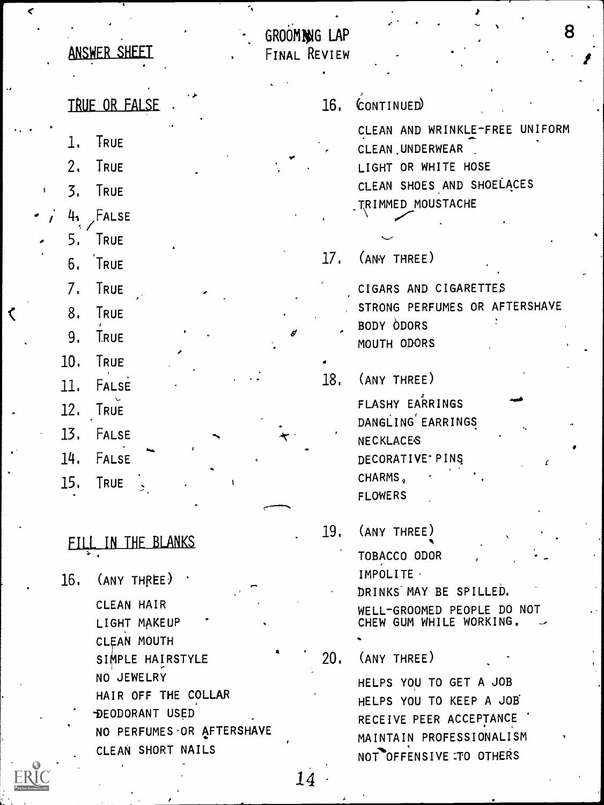|                    |                | ANSWER SHEET                                      | GROOMING LAP<br>FINAL REVIEW |     | 8                                                                                                                             |  |
|--------------------|----------------|---------------------------------------------------|------------------------------|-----|-------------------------------------------------------------------------------------------------------------------------------|--|
|                    |                | TRUE OR FALSE                                     |                              | 16. | CONTINUED                                                                                                                     |  |
|                    |                |                                                   |                              |     |                                                                                                                               |  |
| $\pmb{\mathsf{I}}$ | l.<br>2.<br>3. | TRUE<br>TRUE<br>TRUE                              |                              |     | CLEAN AND WRINKLE-FREE<br>UNIFORM<br>CLEAN UNDERWEAR<br>LIGHT OR WHITE HOSE<br>CLEAN SHOES AND SHOELACES<br>TRIMMED MOUSTACHE |  |
|                    | 41             | FALSE                                             |                              |     |                                                                                                                               |  |
|                    | 5.             | TRUE                                              |                              |     |                                                                                                                               |  |
|                    | 6.             | TRUE                                              |                              | 17. | (ANY THREE)                                                                                                                   |  |
|                    | 7.<br>8.       | TRUE<br>TRUE                                      |                              |     | CIGARS AND CIGARETTES<br>STRONG PERFUMES OR AFTERSHAVE<br>BODY ODORS                                                          |  |
|                    | 9.             | <b>TRUE</b>                                       |                              |     | MOUTH ODORS                                                                                                                   |  |
|                    | 10.            | TRUE                                              |                              |     |                                                                                                                               |  |
|                    | 11.            | FALSE                                             |                              | 18. | (ANY THREE)                                                                                                                   |  |
|                    |                |                                                   |                              |     | FLASHY EARRINGS                                                                                                               |  |
|                    | 12.            | TRUE                                              |                              |     | DANGLING EARRINGS                                                                                                             |  |
|                    | 13.            | FALSE                                             |                              |     | <b>NECKLACES</b>                                                                                                              |  |
|                    | 14.            | FALSE                                             |                              |     | DECORATIVE <sup>.</sup> PINS                                                                                                  |  |
|                    | 15.            | TRUE                                              |                              |     | CHARMS,                                                                                                                       |  |
|                    |                |                                                   |                              |     | <b>FLOWERS</b>                                                                                                                |  |
|                    |                |                                                   |                              | 19. | (ANY THREE)                                                                                                                   |  |
|                    |                | FILL IN THE BLANKS                                |                              |     | TOBACCO ODOR                                                                                                                  |  |
|                    | 16.            | $\text{(ANY} \text{ THE} \text{ THE} \text{ THE}$ |                              |     | IMPOLITE ·                                                                                                                    |  |
|                    |                |                                                   |                              |     | DRINKS MAY BE SPILLED.                                                                                                        |  |
|                    |                | CLEAN HAIR<br>LIGHT MAKEUP                        |                              |     | WELL-GROOMED PEOPLE DO NOT<br>CHEW GUM WHILE WORKING.                                                                         |  |
|                    |                | <b>CLEAN MOUTH</b>                                |                              |     |                                                                                                                               |  |
|                    |                | SIMPLE HAIRSTYLE                                  |                              | 20. | (ANY THREE)                                                                                                                   |  |
|                    |                | NO JEWELRY                                        |                              |     | HELPS YOU TO GET A JOB                                                                                                        |  |
|                    |                | HAIR OFF THE COLLAR                               |                              |     | HELPS YOU TO KEEP A JOB                                                                                                       |  |
|                    |                | DEODORANT USED<br>NO PERFUMES OR AFTERSHAVE       |                              |     | RECEIVE PEER ACCEPTANCE                                                                                                       |  |
|                    |                | CLEAN SHORT NAILS                                 |                              |     | MAINTAIN PROFESSIONALISM                                                                                                      |  |
|                    |                |                                                   |                              |     | NOT OFFENSIVE TO OTHERS                                                                                                       |  |

**ERIC** 

 $\breve{~}$ 

 $\ddot{\phantom{0}}$ 

 $\triangle$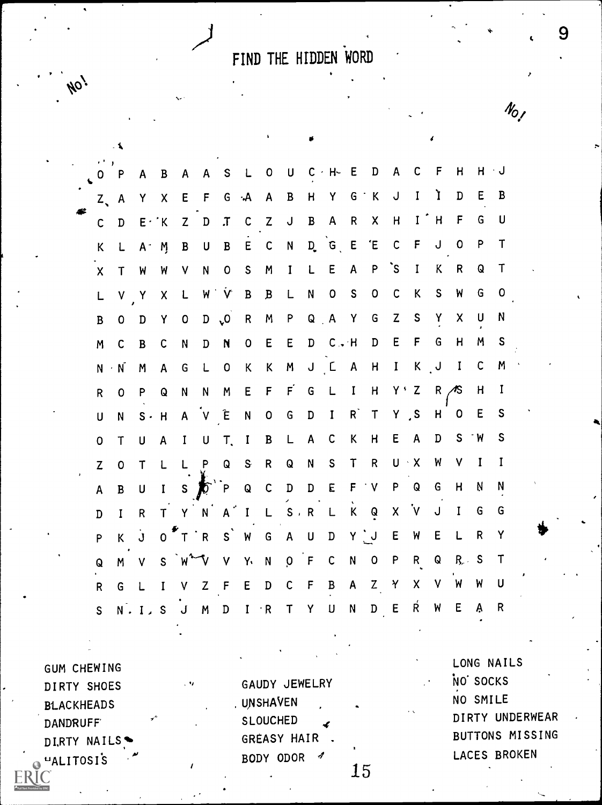FIND THE HIDDEN WORD

ho,

|                                           | ั้ ใ               |                     |                    |              |              |                                 |                         |              |              |             |                 |              |                         |              |              |                |              |              |              |  |
|-------------------------------------------|--------------------|---------------------|--------------------|--------------|--------------|---------------------------------|-------------------------|--------------|--------------|-------------|-----------------|--------------|-------------------------|--------------|--------------|----------------|--------------|--------------|--------------|--|
| $\overrightarrow{0}$ $\overrightarrow{P}$ |                    |                     |                    |              |              | A B A A S L O U C H E D A C F H |                         |              |              |             |                 |              |                         |              |              |                |              | $H + J$      |              |  |
|                                           | $Z_A$ A            |                     |                    |              |              | Y X E F G A A B H Y G K         |                         |              |              |             |                 |              |                         | $\mathsf{U}$ | $\mathbf{I}$ | $\mathbf{I}$   | D            | E            | B            |  |
| $\mathsf{C}$                              |                    | $D$ $E \cdot K$     |                    |              |              | Z D T C Z J B A R X             |                         |              |              |             |                 |              |                         | H            | $I$ $H$      |                | $\mathsf{F}$ | $\mathsf{G}$ | U            |  |
| K                                         |                    | $L$ $A^+$ $M$       |                    | $\mathbf{B}$ |              | U B E C N D G E E               |                         |              |              |             |                 |              |                         |              |              | C F J O        |              | $\mathsf{P}$ | $\mathsf{T}$ |  |
| $\mathsf{X}$                              | $\mathsf{T}$       | <b>W</b>            | W                  | $\mathbf{V}$ |              | N O S                           |                         | M            | $\mathbf{I}$ | L E         |                 | $\mathsf{A}$ | $\mathsf{P}$            | $\mathsf{S}$ | $\mathbf{I}$ | K              | $\mathsf{R}$ | Q            | Τ            |  |
| L                                         | $V - Y$            |                     | $X$ L              |              |              | W V B                           |                         | $\mathbf{B}$ | $\mathsf{L}$ |             | N O S           |              | $\mathbf 0$             | $\mathsf C$  | K            | $\mathsf S$    | W            | G            | $\mathbf 0$  |  |
| $\, {\bf B}$                              | 0                  | D                   | Y                  |              |              | O D O R M                       |                         |              |              |             | P Q A Y         |              | $-$ G                   | Z            | S            | $\mathbf{Y}$   | X            | U            | N            |  |
| M                                         | C                  | $\mathbf B$         | C                  | ${\sf N}$    | D            | $\mathbf{N}$                    | $\overline{\mathbf{0}}$ | E            | E            |             | $D$ $C \cdot H$ |              | $\mathbf{D}$            | E            | F            | $\mathsf{G}$   | H            | M            | $\mathsf S$  |  |
| ${\sf N}$                                 | $\cdot$ N          | M                   | $\mathsf{A}$       | G            |              | L O K K                         |                         |              |              |             |                 |              | M J C A H I K J I       |              |              |                |              | $\mathsf{C}$ | M            |  |
| $\mathsf R$                               | $\mathbf 0$        | $\mathsf{P}$        | $\pmb{\mathsf{Q}}$ | N            | $\mathsf{N}$ | M                               |                         |              |              |             |                 |              | E F F G L I H Y'Z       |              |              | $R / \sqrt{S}$ |              | H            | $\mathbf{I}$ |  |
| U                                         | N                  | $S \cdot H$         |                    |              |              | AVENOGDIRT                      |                         |              |              |             |                 |              |                         | Y, S         |              |                | $H$ 0        | E            | S            |  |
| 0                                         | $\mathsf T$        | U                   | $\mathsf{A}$       | $\mathbf{I}$ |              | $U$ T, I                        |                         | $\mathbf{B}$ | $\mathsf{L}$ | $A$ C       |                 | K            | H                       | E.           | $\mathsf{A}$ | D              |              | $S$ W        | S            |  |
| $\mathsf{Z}$                              | $\pmb{\mathsf{O}}$ | T                   |                    |              |              | L L P Q S R                     |                         |              | $\mathbf Q$  |             | N S T R         |              |                         | $U \wedge X$ |              | W              | $\mathsf{V}$ | $\mathbf{I}$ | $\mathbf I$  |  |
| $\boldsymbol{\mathsf{A}}$                 | $\, {\bf B}$       | $\overline{U}$      |                    |              |              | IS OP Q C D D E F V P Q         |                         |              |              |             |                 |              |                         |              |              | ${\mathsf G}$  | H            | Ņ            | N            |  |
| $\mathbf D$                               | $\mathbf{I}$       | $\overline{R}$      |                    |              |              | T Y N A I L S R L               |                         |              |              |             |                 |              | K Q X V                 |              |              | $\bigcup$      | $\mathbf{I}$ | G            | G            |  |
| P                                         |                    |                     |                    |              |              | K J O T R S W G                 |                         |              | A U          |             | D Y U           |              |                         | E W          |              | $\mathsf E$    | $\mathsf{L}$ | $\mathsf{R}$ | Y            |  |
| Q                                         | $M - V$            |                     |                    |              |              | $S$ $W^2$ $V$ $V$ $Y$           |                         |              |              | N O F C     |                 | N            | $\overline{\mathbf{0}}$ | P R Q        |              |                | $R_{\nu}$ S  |              | $\mathsf T$  |  |
| $\mathsf R$                               | G                  | $\mathsf{L}$        | $\mathbf{I}$       |              |              | $V$ $Z$ $F$ $E$ $D$             |                         |              |              | $C$ $F$ $B$ |                 |              | $A$ $Z$ $Y$             |              | $\mathsf{X}$ | V W            |              | W            | U            |  |
| $\mathsf{S}$                              |                    | $N \cdot I \cdot S$ |                    | $\mathbf{J}$ | M            | $\mathbf D$                     |                         | $I \t R$     | T            | Y           | $\sf U$         | ${\sf N}$    | $\mathbf D$             | $\mathsf E$  | Ŕ            | W              | E            | Ą            | R            |  |

LONG NAILS **GUM CHEWING** NO SOCKS GAUDY JEWELRY DIRTY SHOES NO SMILE . UNSHAVEN **BLACKHEADS** DIRTY UNDERWEAR SLOUCHED DANDRUFF BUTTONS MISSING GREASY HAIR DIRTY NAILS LACES BROKEN **UALITOSIS** BODY ODOR 15

9

 $N_{O_f}$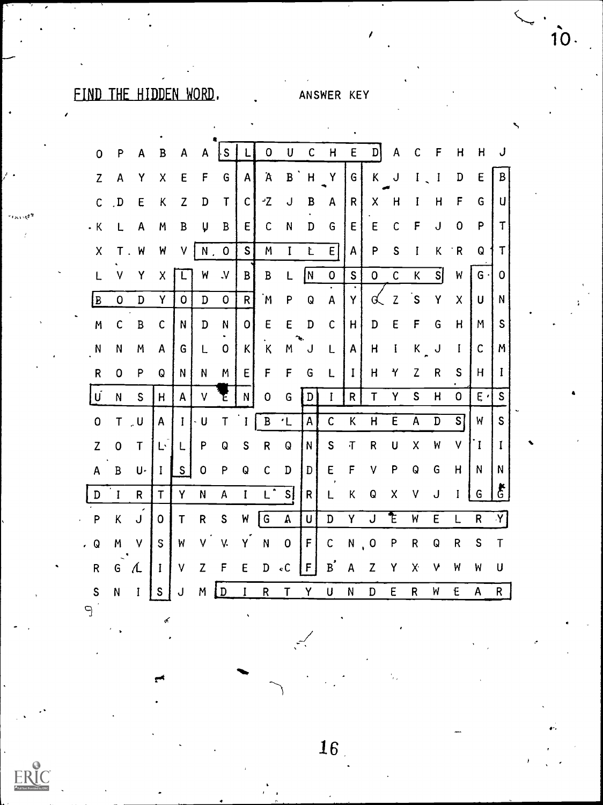### FIND THE HIDDEN WORD.

#### ANSWER KEY

| 0                         | P           | A   | $\, {\bf B}$ | A            | A           | ļs           |              | $\mathbf 0$        | U           | $\mathsf{C}$ | $\overline{\mathsf{H}}$ | E            | $\mathbf{D}$            | Α              | C           | F                       | $\mathsf{H}$              | н            | J                  |
|---------------------------|-------------|-----|--------------|--------------|-------------|--------------|--------------|--------------------|-------------|--------------|-------------------------|--------------|-------------------------|----------------|-------------|-------------------------|---------------------------|--------------|--------------------|
| $\mathbf{Z}$              | A           | Υ   | X            | E            | F           | G            | A            | Ά                  | B           | H            | Υ                       | G            | Κ                       | J              | I           | I                       | D                         | E            | B                  |
| $\mathsf{C}$              | . D         | E   | Κ            | Z            | D           | $\mathsf T$  | $\mathsf{C}$ | ٠z                 | J           | B            | A                       | R            | Χ                       | H              | I           | H                       | F                         | G            | U                  |
| . K                       | L           | A   | M            | $\, {\bf B}$ | U           | B            | E            | C                  | N           | D            | G                       | E            | E                       | $\mathsf{C}$   | F           | J                       | $\mathbf 0$               | P            | $\mathsf T$        |
| $\boldsymbol{\mathsf{X}}$ | $\mathsf T$ | W   | W            | ٧            | Ν.          | $\mathbf 0$  | $\mathsf{S}$ | M                  | $\mathbf I$ | Ł            | E                       | A            | P                       | S              | I           | К                       | $\mathsf{R}$              | Q            | Τ                  |
| L                         | V           | Y   | X            |              | W           | $\mathsf{v}$ | B            | B                  | L           | N            | $\mathbf 0$             | $\mathsf S$  | $\overline{0}$          | $\mathsf{C}$   | К           | $\overline{\mathsf{s}}$ | W                         | G.           | 0                  |
| l B                       | $\mathbf 0$ | D   | Y            | 0            | D           | $\mathbf 0$  | R            | M                  | P           | Q            | A                       | Y            | G                       | Z              | S           | Y                       | $\boldsymbol{\mathsf{X}}$ | U            | N                  |
| M                         | C           | B   | C            | N            | D           | N            | 0            | E                  | E           | $\mathbf D$  | $\mathsf{C}$            | H            | D                       | E              | F           | G                       | H                         | M            | S                  |
| N                         | N           | M   | A            | G            | L           | 0            | Κ            | K                  | Μ           | J            | L                       | A            | Н                       | I              | $K_{\perp}$ | J                       | I                         | $\mathsf{C}$ | M                  |
| $\mathsf R$               | 0           | P   | Q            | N            | N           | M            | E            | F                  | F           | G            | L                       | $\mathbf I$  | н                       | Υ              | Z           | R                       | S                         | H            | I                  |
| U                         | N           | S   | H            | A            | ٧           | Έ            | N            | 0                  | G           | D            | I                       | $\mathsf R$  | $\mathsf T$             | Υ              | S           | Н                       | $\mathbf 0$               | E            | S                  |
| $\mathbf 0$               | $\mathsf T$ | ្ងប | A            | Ī            | U           | $\mathsf T$  | I            | $\, {\bf B}$       | $\cdot$ L   | A            | $\mathsf{C}$            | К            | $\overline{\mathsf{H}}$ | $\overline{E}$ | Ā           | $\overline{\mathbf{D}}$ | $\overline{s}$            | W            | $\mathsf{s}$       |
| Z                         | 0           | T   | Ŀ            | L            | P           | Q            | S            | R                  | Q           | N            | S                       | $\mathbf{T}$ | R                       | U              | X           | W                       | V                         | $\mathbf{I}$ | I                  |
| A                         | B           | U.  | I            | S            | $\mathbf 0$ | P            | Q            | $\mathsf{C}$       | D           | D            | $\mathsf E$             | F            | ٧                       | P              | Q           | G                       | Η                         | N            | N                  |
| $\mathbf D$               | $\mathbf I$ | R   | T            | Y            | N           | А            | $\mathbf I$  | $L^{\overline{z}}$ | sļ          | R            | L                       | К            | Q                       | X              | ٧           | J                       | I                         | G            | $\boldsymbol{\xi}$ |
| P                         | K           | J   | 0            | $\mathsf T$  | ${\sf R}$   | ${\sf S}$    | W            | G                  | A           | U            | $\mathbb D$             | Υ            | J                       | E              | W           | E                       | L                         | $\mathsf R$  | Y                  |
| Q                         | M           | ٧   | S            | W            | V           | V.           | Y            | N                  | 0           | F            | $\mathsf{C}$            | $\mathsf{N}$ | $\mathbf 0$             | P              | R           | Q                       | R                         | S            | $\mathsf T$        |
| $\mathsf R$               | G           | L   | I            | $\vee$       | Z           | F            | E            | D                  | $\cdot$ C   | F            | $B^{'}$                 | A            | Z                       | Υ              | X.          | V                       | W                         | W            | U                  |
| $\mathsf S$               | N           | I   | S            | J            | M           | D            | I            | $\mathsf R$        | Τ           | Υ            | U                       | N            | D                       | E              | R           | W                       | $\epsilon$                | A            | $\mathsf{R}$       |

 $\Theta$ 

ERIC

 $16<sub>1</sub>$ 

 $10.$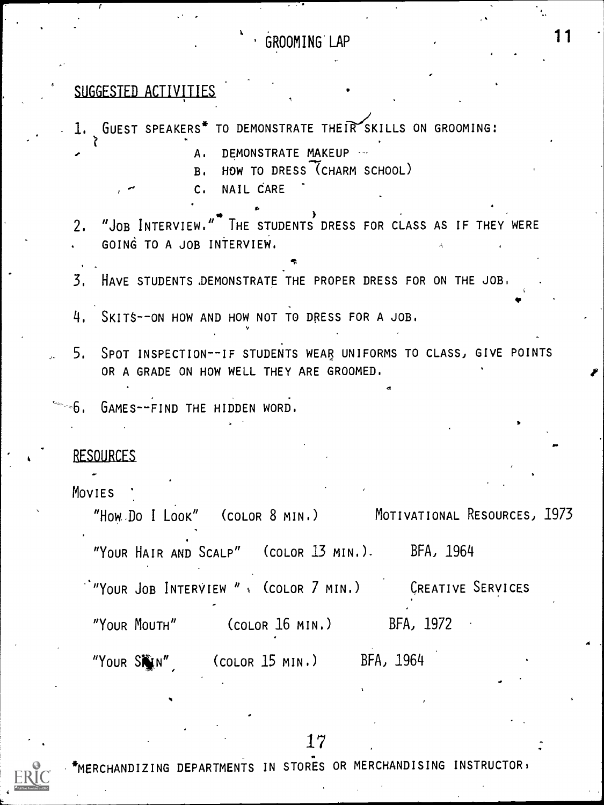#### k . GROOMING LAP

# SUGGESTED ACTIVITIES

| 1. GUEST SPEAKERS <sup>*</sup> TO DEMONSTRATE THEIR SKILLS ON GROOMING:                                         |
|-----------------------------------------------------------------------------------------------------------------|
| DEMONSTRATE MAKEUP<br>A.<br>HOW TO DRESS (CHARM SCHOOL)<br>B <sub>1</sub><br>NAIL CARE<br>$C_{\bullet}$         |
|                                                                                                                 |
| 2. "JOB INTERVIEW." THE STUDENTS DRESS FOR CLASS AS IF THEY WERE                                                |
| GOING TO A JOB INTERVIEW.                                                                                       |
| 3. HAVE STUDENTS DEMONSTRATE THE PROPER DRESS FOR ON THE JOB.                                                   |
| 4. SKITS--ON HOW AND HOW NOT TO DRESS FOR A JOB.                                                                |
| 5. SPOT INSPECTION--IF STUDENTS WEAR UNIFORMS TO CLASS, GIVE POINTS<br>OR A GRADE ON HOW WELL THEY ARE GROOMED. |
|                                                                                                                 |
| S. GAMES--FIND THE HIDDEN WORD.                                                                                 |
| <b>RESOURCES</b>                                                                                                |
|                                                                                                                 |
| MOVIES<br>"How Do I Look" (COLOR 8 MIN.) MOTIVATIONAL RESOURCES, 1973                                           |
| "YOUR HAIR AND SCALP" (COLOR 13 MIN.). BFA, 1964                                                                |
| "YOUR JOB INTERVIEW " (COLOR 7 MIN.) CREATIVE SERVICES                                                          |
| "YOUR MOUTH"<br>BFA, 1972<br>(COLOR 16 MIN.)                                                                    |
| BFA, 1964<br>"YOUR SHIN"<br>(COLOR 15 MIN.)                                                                     |

#### 17



MERCHANDIZING DEPARTMENTS IN STORES OR MERCHANDISING INSTRUCTOR:

ŧ,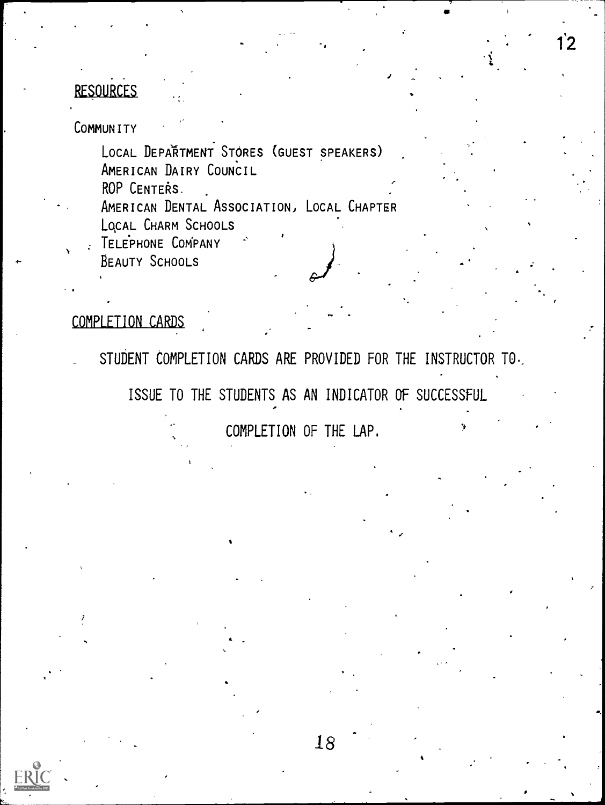#### RESOURCES

COMMUNITY

 $\mathbf{A} = \mathbf{A} \mathbf{A} + \mathbf{A} \mathbf{A} + \mathbf{A} \mathbf{A} + \mathbf{A} \mathbf{A} + \mathbf{A} \mathbf{A} + \mathbf{A} \mathbf{A} + \mathbf{A} \mathbf{A} + \mathbf{A} \mathbf{A} + \mathbf{A} \mathbf{A} + \mathbf{A} \mathbf{A} + \mathbf{A} \mathbf{A} + \mathbf{A} \mathbf{A} + \mathbf{A} \mathbf{A} + \mathbf{A} \mathbf{A} + \mathbf{A} \mathbf{A} + \mathbf{A} \mathbf{A} + \mathbf{A$ 

LOCAL DEPAŘTMENT STORES (GUEST SPEAKERS) AMERICAN DAIRY COUNCIL

ROP CENTERS.

AMERICAN DENTAL ASSOCIATION, LOCAL CHAPTER LOCAL CHARM SCHOOLS

I.

TELEPHONE COMPANY

BEAUTY SCHOOLS

#### COMPLETION CARDS

STUDENT COMPLETION CARDS ARE PROVIDED FOR THE INSTRUCTOR TO.

ISSUE TO THE STUDENTS AS AN INDICATOR OF SUCCESSFUL

COMPLETION OF THE LAP.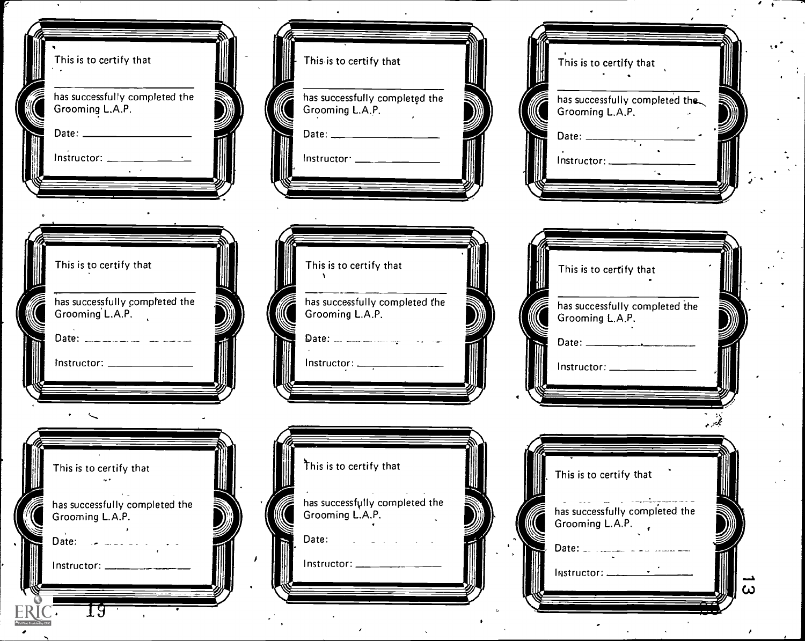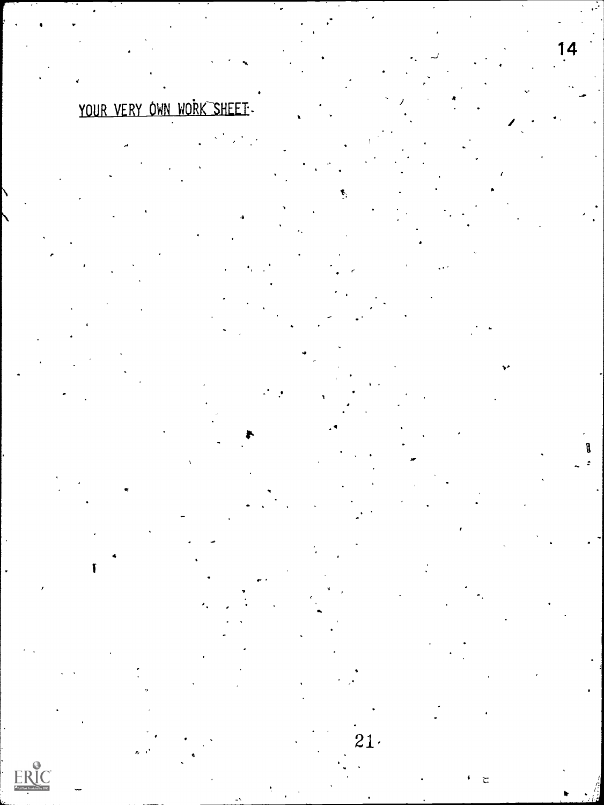# YOUR VERY OWN WORK SHEET

ſ

ER

 $21.$